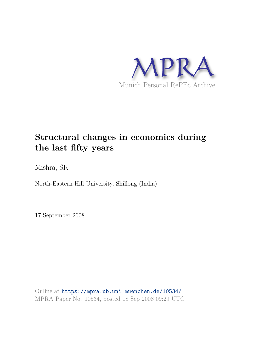

## **Structural changes in economics during the last fifty years**

Mishra, SK

North-Eastern Hill University, Shillong (India)

17 September 2008

Online at https://mpra.ub.uni-muenchen.de/10534/ MPRA Paper No. 10534, posted 18 Sep 2008 09:29 UTC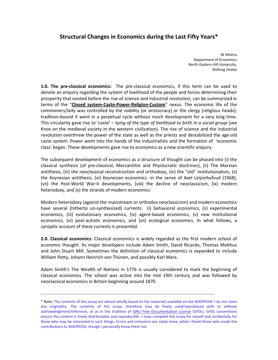## Structural Changes in Economics during the Last Fifty Years\*

 SK Mishra Department of Economics North-Eastern Hill University, Shillong (India)

**1.0. The pre-classical economics:** The pre-classical economics, if this term can be used to denote an enquiry regarding the system of livelihood of the people and forces determining their prosperity that existed before the rise of science and industrial revolution, can be summarized in terms of the "Closed system-Caste-Power-Religion-Custom" nexus. The economic life of the commoners/laity was controlled by the nobility (or aristocracy) or the clergy (religious heads); tradition-bound it went in a perpetual cycle without much development for a very long time. This circularity gave rise to 'caste'  $-$  tying of the type of livelihood to birth in a social group (see Knox on the medieval society in the western civilization). The rise of science and the industrial revolution overthrew the power of the state as well as the priests and destabilized the age-old caste system. Power went into the hands of the industrialists and the formation of 'economic class' began. These developments gave rise to economics as a new scientific enquiry.

The subsequent development of economics as a structure of thought can be phased into (i) the classical synthesis (of pre-classical, Mercantilist and Physiocratic doctrines), (ii) The Marxian antithesis, (iii) the neoclassical reconstruction and orthodoxy, (iv) the "old" institutionalism,  $(v)$ the Keynesian antithesis, (vi) Keynesian economics -in the sense of Axel Leijonhufvud (1968), (vii) the Post-World War-II developments, (viii) the decline of neoclassicism, (ix) modern heterodoxy, and (x) the strands of modern economics.

Modern heterodoxy (against the mainstream or orthodox neoclassicism) and modern economics have several (hitherto un-synthesized) currents: (i) behavioral economics, (ii) experimental economics, (iii) evolutionary economics, (iv) agent-based economics, (v) new Institutional economics, (vi) post-autistic economics, and (vii) ecological economics. In what follows, a synoptic account of these currents is presented.

2.0. Classical economics: Classical economics is widely regarded as the first modern school of economic thought. Its major developers include Adam Smith, David Ricardo, Thomas Malthus and John Stuart Mill. Sometimes the definition of classical economics is expanded to include William Petty, Johann Heinrich von Thünen, and possibly Karl Marx.

Adam Smith's The Wealth of Nations in 1776 is usually considered to mark the beginning of classical economics. The school was active into the mid 19th century and was followed by neoclassical economics in Britain beginning around 1870.

-------------------------------------------------------------------------------------------------------------------------------------------

<sup>\*</sup> Note: The contents of this essay are almost wholly based on the materials available on the WIKIPEDIA. I do not claim any originality. The contents of this essay, therefore may be freely used/reproduced with or without acknowledgment/reference, or as in the tradition of GNU Free Documentation License (GFDL). GFDL conventions ensure the content is freely distributable and reproducible. I have compiled this essay for myself and incidentally for those who may be interested in such things. Errors and omissions are solely mine, while I thank those who made the contributions to WIKIPEDIA, though I personally know them not.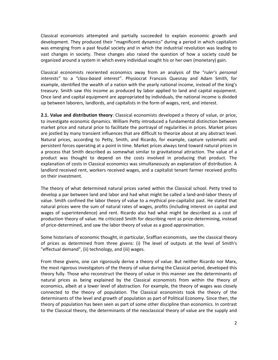Classical economists attempted and partially succeeded to explain economic growth and development. They produced their "magnificent dynamics" during a period in which capitalism was emerging from a past feudal society and in which the industrial revolution was leading to vast changes in society. These changes also raised the question of how a society could be organized around a system in which every individual sought his or her own (monetary) gain.

Classical economists reoriented economics away from an analysis of the "ruler's personal interests" to a "class-based interest". Physiocrat Francois Quesnay and Adam Smith, for example, identified the wealth of a nation with the yearly national income, instead of the king's treasury. Smith saw this income as produced by labor applied to land and capital equipment. Once land and capital equipment are appropriated by individuals, the national income is divided up between laborers, landlords, and capitalists in the form of wages, rent, and interest.

2.1. Value and distribution theory: Classical economists developed a theory of value, or price, to investigate economic dynamics. William Petty introduced a fundamental distinction between market price and natural price to facilitate the portrayal of regularities in prices. Market prices are jostled by many transient influences that are difficult to theorize about at any abstract level. Natural prices, according to Petty, Smith, and Ricardo, for example, capture systematic and persistent forces operating at a point in time. Market prices always tend toward natural prices in a process that Smith described as somewhat similar to gravitational attraction. The value of a product was thought to depend on the costs involved in producing that product. The explanation of costs in Classical economics was simultaneously an explanation of distribution. A landlord received rent, workers received wages, and a capitalist tenant farmer received profits on their investment.

The theory of what determined natural prices varied within the Classical school. Petty tried to develop a par between land and labor and had what might be called a land-and-labor theory of value. Smith confined the labor theory of value to a mythical pre-capitalist past. He stated that natural prices were the sum of natural rates of wages, profits (including interest on capital and wages of superintendence) and rent. Ricardo also had what might be described as a cost of production theory of value. He criticized Smith for describing rent as price-determining, instead of price-determined, and saw the labor theory of value as a good approximation.

Some historians of economic thought, in particular, Sraffian economists, see the classical theory of prices as determined from three givens: (i) The level of outputs at the level of Smith's "effectual demand", (ii) technology, and (iii) wages.

From these givens, one can rigorously derive a theory of value. But neither Ricardo nor Marx, the most rigorous investigators of the theory of value during the Classical period, developed this theory fully. Those who reconstruct the theory of value in this manner see the determinants of natural prices as being explained by the Classical economists from within the theory of economics, albeit at a lower level of abstraction. For example, the theory of wages was closely connected to the theory of population. The Classical economists took the theory of the determinants of the level and growth of population as part of Political Economy. Since then, the theory of population has been seen as part of some other discipline than economics. In contrast to the Classical theory, the determinants of the neoclassical theory of value are the supply and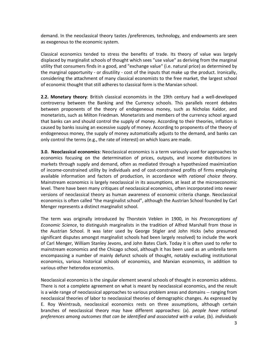demand. In the neoclassical theory tastes /preferences, technology, and endowments are seen as exogenous to the economic system.

Classical economics tended to stress the benefits of trade. Its theory of value was largely displaced by marginalist schools of thought which sees "use value" as deriving from the marginal utility that consumers finds in a good, and "exchange value" (i.e. natural price) as determined by the marginal opportunity - or disutility - cost of the inputs that make up the product. Ironically, considering the attachment of many classical economists to the free market, the largest school of economic thought that still adheres to classical form is the Marxian school.

2.2. Monetary theory: British classical economists in the 19th century had a well-developed controversy between the Banking and the Currency schools. This parallels recent debates between proponents of the theory of endogeneous money, such as Nicholas Kaldor, and monetarists, such as Milton Friedman. Monetarists and members of the currency school argued that banks can and should control the supply of money. According to their theories, inflation is caused by banks issuing an excessive supply of money. According to proponents of the theory of endogeneous money, the supply of money automatically adjusts to the demand, and banks can only control the terms (e.g., the rate of interest) on which loans are made.

**3.0. Neoclassical economics**: Neoclassical economics is a term variously used for approaches to economics focusing on the determination of prices, outputs, and income distributions in markets through supply and demand, often as mediated through a hypothesized maximization of income-constrained utility by individuals and of cost-constrained profits of firms employing available information and factors of production, in accordance with rational choice theory. Mainstream economics is largely neoclassical in its assumptions, at least at the microeconomic level. There have been many critiques of neoclassical economics, often incorporated into newer versions of neoclassical theory as human awareness of economic criteria change. Neoclassical economics is often called "the marginalist school", although the Austrian School founded by Carl Menger represents a distinct marginalist school.

The term was originally introduced by Thorstein Veblen in 1900, in his Preconceptions of Economic Science, to distinguish marginalists in the tradition of Alfred Marshall from those in the Austrian School. It was later used by George Stigler and John Hicks (who presumed significant disputes amongst marginalist schools had been largely resolved) to include the work of Carl Menger, William Stanley Jevons, and John Bates Clark. Today it is often used to refer to mainstream economics and the Chicago school, although it has been used as an umbrella term encompassing a number of mainly defunct schools of thought, notably excluding institutional economics, various historical schools of economics, and Marxian economics, in addition to various other heterodox economics.

Neoclassical economics is the singular element several schools of thought in economics address. There is not a complete agreement on what is meant by neoclassical economics, and the result is a wide range of neoclassical approaches to various problem areas and domains -- ranging from neoclassical theories of labor to neoclassical theories of demographic changes. As expressed by E. Roy Weintraub, neoclassical economics rests on three assumptions, although certain branches of neoclassical theory may have different approaches: (a). people have rational preferences among outcomes that can be identified and associated with a value, (b). individuals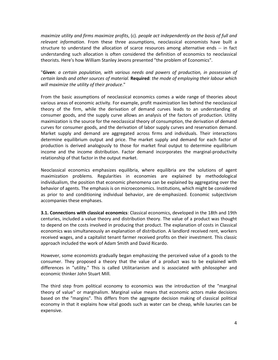maximize utility and firms maximize profits, (c). people act independently on the basis of full and relevant information. From these three assumptions, neoclassical economists have built a structure to understand the allocation of scarce resources among alternative ends -- in fact understanding such allocation is often considered the definition of economics to neoclassical theorists. Here's how William Stanley Jevons presented "the problem of Economics".

"Given: a certain population, with various needs and powers of production, in possession of certain lands and other sources of material. Required: the mode of employing their labour which will maximize the utility of their produce."

From the basic assumptions of neoclassical economics comes a wide range of theories about various areas of economic activity. For example, profit maximization lies behind the neoclassical theory of the firm, while the derivation of demand curves leads to an understanding of consumer goods, and the supply curve allows an analysis of the factors of production. Utility maximization is the source for the neoclassical theory of consumption, the derivation of demand curves for consumer goods, and the derivation of labor supply curves and reservation demand. Market supply and demand are aggregated across firms and individuals. Their interactions determine equilibrium output and price. The market supply and demand for each factor of production is derived analogously to those for market final output to determine equilibrium income and the income distribution. Factor demand incorporates the marginal-productivity relationship of that factor in the output market.

Neoclassical economics emphasizes equilibria, where equilibria are the solutions of agent maximization problems. Regularities in economies are explained by methodological individualism, the position that economic phenomena can be explained by aggregating over the behavior of agents. The emphasis is on microeconomics. Institutions, which might be considered as prior to and conditioning individual behavior, are de-emphasized. Economic subjectivism accompanies these emphases.

3.1. Connections with classical economics: Classical economics, developed in the 18th and 19th centuries, included a value theory and distribution theory. The value of a product was thought to depend on the costs involved in producing that product. The explanation of costs in Classical economics was simultaneously an explanation of distribution. A landlord received rent, workers received wages, and a capitalist tenant farmer received profits on their investment. This classic approach included the work of Adam Smith and David Ricardo.

However, some economists gradually began emphasizing the perceived value of a goods to the consumer. They proposed a theory that the value of a product was to be explained with differences in "utility." This is called Utilitarianism and is associated with philosopher and economic thinker John Stuart Mill.

The third step from political economy to economics was the introduction of the "marginal theory of value" or marginalism. Marginal value means that economic actors make decisions based on the "margins". This differs from the aggregate decision making of classical political economy in that it explains how vital goods such as water can be cheap, while luxuries can be expensive.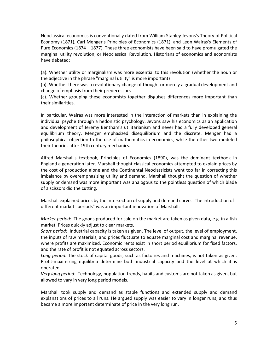Neoclassical economics is conventionally dated from William Stanley Jevons's Theory of Political Economy (1871), Carl Menger's Principles of Economics (1871), and Leon Walras's Elements of Pure Economics (1874 – 1877). These three economists have been said to have promulgated the marginal utility revolution, or Neoclassical Revolution. Historians of economics and economists have debated:

(a). Whether utility or marginalism was more essential to this revolution (whether the noun or the adjective in the phrase "marginal utility" is more important)

(b). Whether there was a revolutionary change of thought or merely a gradual development and change of emphasis from their predecessors

(c). Whether grouping these economists together disguises differences more important than their similarities.

In particular, Walras was more interested in the interaction of markets than in explaining the individual psyche through a hedonistic psychology. Jevons saw his economics as an application and development of Jeremy Bentham's utilitarianism and never had a fully developed general equilibrium theory. Menger emphasized disequilibrium and the discrete. Menger had a philosophical objection to the use of mathematics in economics, while the other two modeled their theories after 19th century mechanics.

Alfred Marshall's textbook, Principles of Economics (1890), was the dominant textbook in England a generation later. Marshall thought classical economics attempted to explain prices by the cost of production alone and the Continental Neoclassicists went too far in correcting this imbalance by overemphasizing utility and demand. Marshall thought the question of whether supply or demand was more important was analogous to the pointless question of which blade of a scissors did the cutting.

Marshall explained prices by the intersection of supply and demand curves. The introduction of different market "periods" was an important innovation of Marshall:

Market period: The goods produced for sale on the market are taken as given data, e.g. in a fish market. Prices quickly adjust to clear markets.

Short period: Industrial capacity is taken as given. The level of output, the level of employment, the inputs of raw materials, and prices fluctuate to equate marginal cost and marginal revenue, where profits are maximized. Economic rents exist in short period equilibrium for fixed factors, and the rate of profit is not equated across sectors.

Long period: The stock of capital goods, such as factories and machines, is not taken as given. Profit-maximizing equilibria determine both industrial capacity and the level at which it is operated.

Very long period: Technology, population trends, habits and customs are not taken as given, but allowed to vary in very long period models.

Marshall took supply and demand as stable functions and extended supply and demand explanations of prices to all runs. He argued supply was easier to vary in longer runs, and thus became a more important determinate of price in the very long run.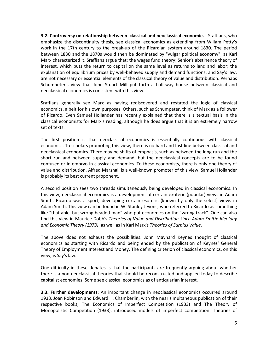3.2. Controversy on relationship between classical and neoclassical economics: Sraffians, who emphasize the discontinuity thesis, see classical economics as extending from Willam Petty's work in the 17th century to the break-up of the Ricardian system around 1830. The period between 1830 and the 1870s would then be dominated by "vulgar political economy", as Karl Marx characterized it. Sraffians argue that: the wages fund theory; Senior's abstinence theory of interest, which puts the return to capital on the same level as returns to land and labor; the explanation of equilibrium prices by well-behaved supply and demand functions; and Say's law, are not necessary or essential elements of the classical theory of value and distribution. Perhaps Schumpeter's view that John Stuart Mill put forth a half-way house between classical and neoclassical economics is consistent with this view.

Sraffians generally see Marx as having rediscovered and restated the logic of classical economics, albeit for his own purposes. Others, such as Schumpeter, think of Marx as a follower of Ricardo. Even Samuel Hollander has recently explained that there is a textual basis in the classical economists for Marx's reading, although he does argue that it is an extremely narrow set of texts.

The first position is that neoclassical economics is essentially continuous with classical economics. To scholars promoting this view, there is no hard and fast line between classical and neoclassical economics. There may be shifts of emphasis, such as between the long run and the short run and between supply and demand, but the neoclassical concepts are to be found confused or in embryo in classical economics. To these economists, there is only one theory of value and distribution. Alfred Marshall is a well-known promoter of this view. Samuel Hollander is probably its best current proponent.

A second position sees two threads simultaneously being developed in classical economics. In this view, neoclassical economics is a development of certain exoteric (popular) views in Adam Smith. Ricardo was a sport, developing certain esoteric (known by only the select) views in Adam Smith. This view can be found in W. Stanley Jevons, who referred to Ricardo as something like "that able, but wrong-headed man" who put economics on the "wrong track". One can also find this view in Maurice Dobb's Theories of Value and Distribution Since Adam Smith: Ideology and Economic Theory (1973), as well as in Karl Marx's Theories of Surplus Value.

The above does not exhaust the possibilities. John Maynard Keynes thought of classical economics as starting with Ricardo and being ended by the publication of Keynes' General Theory of Employment Interest and Money. The defining criterion of classical economics, on this view, is Say's law.

One difficulty in these debates is that the participants are frequently arguing about whether there is a non-neoclassical theories that should be reconstructed and applied today to describe capitalist economies. Some see classical economics as of antiquarian interest.

**3.3. Further developments**: An important change in neoclassical economics occurred around 1933. Joan Robinson and Edward H. Chamberlin, with the near simultaneous publication of their respective books, The Economics of Imperfect Competition (1933) and The Theory of Monopolistic Competition (1933), introduced models of imperfect competition. Theories of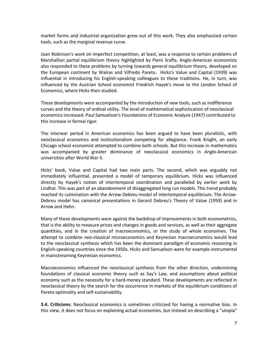market forms and industrial organization grew out of this work. They also emphasized certain tools, such as the marginal revenue curve.

Joan Robinson's work on imperfect competition, at least, was a response to certain problems of Marshallian partial equilibrium theory highlighted by Piero Sraffa. Anglo-American economists also responded to these problems by turning towards general equilibrium theory, developed on the European continent by Walras and Vilfredo Pareto. Hicks's Value and Capital (1939) was influential in introducing his English-speaking colleagues to these traditions. He, in turn, was influenced by the Austrian School economist Friedrich Hayek's move to the London School of Economics, where Hicks then studied.

These developments were accompanied by the introduction of new tools, such as indifference curves and the theory of ordinal utility. The level of mathematical sophistication of neoclassical economics increased. Paul Samuelson's Foundations of Economic Analysis (1947) contributed to this increase in formal rigor.

The interwar period in American economics has been argued to have been pluralistic, with neoclassical economics and institutionalism competing for allegiance. Frank Knight, an early Chicago school economist attempted to combine both schools. But this increase in mathematics was accompanied by greater dominance of neoclassical economics in Anglo-American universities after World War II.

Hicks' book, Value and Capital had two main parts. The second, which was arguably not immediately influential, presented a model of temporary equilibrium. Hicks was influenced directly by Hayek's notion of intertemporal coordination and paralleled by earlier work by Lindhal. This was part of an abandonment of disaggregated long run models. This trend probably reached its culmination with the Arrow-Debreu model of intertemporal equilibrium. The Arrow-Debreu model has canonical presentations in Gerard Debreu's Theory of Value (1959) and in Arrow and Hahn.

Many of these developments were against the backdrop of improvements in both econometrics, that is the ability to measure prices and changes in goods and services, as well as their aggregate quantities, and in the creation of macroeconomics, or the study of whole economies. The attempt to combine neo-classical microeconomics and Keynesian macroeconomics would lead to the neoclassical synthesis which has been the dominant paradigm of economic reasoning in English-speaking countries since the 1950s. Hicks and Samuelson were for example instrumental in mainstreaming Keynesian economics.

Macroeconomics influenced the neoclassical synthesis from the other direction, undermining foundations of classical economic theory such as Say's Law, and assumptions about political economy such as the necessity for a hard-money standard. These developments are reflected in neoclassical theory by the search for the occurrence in markets of the equilibrium conditions of Pareto optimality and self-sustainability.

**3.4. Criticisms**: Neoclassical economics is sometimes criticized for having a normative bias. In this view, it does not focus on explaining actual economies, but instead on describing a "utopia"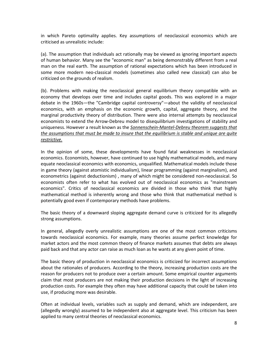in which Pareto optimality applies. Key assumptions of neoclassical economics which are criticised as unrealistic include:

(a). The assumption that individuals act rationally may be viewed as ignoring important aspects of human behavior. Many see the "economic man" as being demonstrably different from a real man on the real earth. The assumption of rational expectations which has been introduced in some more modern neo-classical models (sometimes also called new classical) can also be criticized on the grounds of realism.

(b). Problems with making the neoclassical general equilibrium theory compatible with an economy that develops over time and includes capital goods. This was explored in a major debate in the 1960s—the "Cambridge capital controversy"—about the validity of neoclassical economics, with an emphasis on the economic growth, capital, aggregate theory, and the marginal productivity theory of distribution. There were also internal attempts by neoclassical economists to extend the Arrow-Debreu model to disequilibrium investigations of stability and uniqueness. However a result known as the Sonnenschein-Mantel-Debreu theorem suggests that the assumptions that must be made to insure that the equilibrium is stable and unique are quite restrictive.

In the opinion of some, these developments have found fatal weaknesses in neoclassical economics. Economists, however, have continued to use highly mathematical models, and many equate neoclassical economics with economics, unqualified. Mathematical models include those in game theory (against atomistic individualism), linear programming (against marginalism), and econometrics (against deductionism) , many of which might be considered non-neoclassical. So economists often refer to what has evolved out of neoclassical economics as "mainstream economics". Critics of neoclassical economics are divided in those who think that highly mathematical method is inherently wrong and those who think that mathematical method is potentially good even if contemporary methods have problems.

The basic theory of a downward sloping aggregate demand curve is criticized for its allegedly strong assumptions.

In general, allegedly overly unrealistic assumptions are one of the most common criticisms towards neoclassical economics. For example, many theories assume perfect knowledge for market actors and the most common theory of finance markets assumes that debts are always paid back and that any actor can raise as much loan as he wants at any given point of time.

The basic theory of production in neoclassical economics is criticized for incorrect assumptions about the rationales of producers. According to the theory, increasing production costs are the reason for producers not to produce over a certain amount. Some empirical counter arguments claim that most producers are not making their production decisions in the light of increasing production costs. For example they often may have additional capacity that could be taken into use, if producing more was desirable.

Often at individual levels, variables such as supply and demand, which are independent, are (allegedly wrongly) assumed to be independent also at aggregate level. This criticism has been applied to many central theories of neoclassical economics.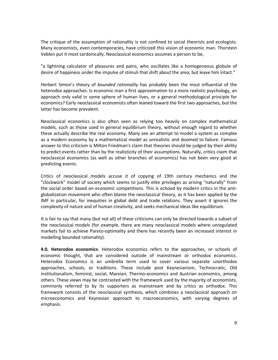The critique of the assumption of rationality is not confined to social theorists and ecologists. Many economists, even contemporaries, have criticized this vision of economic man. Thorstein Veblen put it most sardonically. Neoclassical economics assumes a person to be,

"a lightning calculator of pleasures and pains, who oscillates like a homogeneous globule of desire of happiness under the impulse of stimuli that shift about the area, but leave him intact."

Herbert Simon's theory of bounded rationality has probably been the most influential of the heterodox approaches. Is economic man a first approximation to a more realistic psychology, an approach only valid in some sphere of human lives, or a general methodological principle for economics? Early neoclassical economists often leaned toward the first two approaches, but the latter has become prevalent.

Neoclassical economics is also often seen as relying too heavily on complex mathematical models, such as those used in general equilibrium theory, without enough regard to whether these actually describe the real economy. Many see an attempt to model a system as complex as a modern economy by a mathematical model as unrealistic and doomed to failure. Famous answer to this criticism is Milton Friedman's claim that theories should be judged by their ability to predict events rather than by the realisticity of their assumptions. Naturally, critics claim that neoclassical economics (as well as other branches of economics) has not been very good at predicting events.

Critics of neoclassical models accuse it of copying of 19th century mechanics and the "clockwork" model of society which seems to justify elite privileges as arising "naturally" from the social order based on economic competitions. This is echoed by modern critics in the antiglobalization movement who often blame the neoclassical theory, as it has been applied by the IMF in particular, for inequities in global debt and trade relations. They assert it ignores the complexity of nature and of human creativity, and seeks mechanical ideas like equilibrium.

It is fair to say that many (but not all) of these criticisms can only be directed towards a subset of the neoclassical models (for example, there are many neoclassical models where unregulated markets fail to achieve Pareto-optimality and there has recently been an increased interest in modelling bounded rationality).

4.0. Heterodox economics: Heterodox economics refers to the approaches, or schools of economic thought, that are considered outside of mainstream or orthodox economics. Heterodox Economics is an umbrella term used to cover various separate unorthodox approaches, schools, or traditions. These include post Keynesianism, Technocratic, Old institutionalism, feminist, social, Marxian, Thermo-economics and Austrian economics, among others. These views may be contrasted with the framework used by the majority of economists, commonly referred to by its supporters as mainstream and by critics as orthodox. This framework consists of the neoclassical synthesis, which combines a neoclassical approach on microeconomics and Keynesian approach to macroeconomics, with varying degrees of emphasis.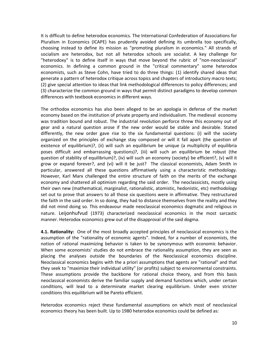It is difficult to define heterodox economics. The International Confederation of Associations for Pluralism in Economics (ICAPE) has prudently avoided defining its umbrella too specifically, choosing instead to define its mission as "promoting pluralism in economics." All strands of socialism are heterodox, but not all heterodox schools are socialist. A key challenge for "heterodoxy" is to define itself in ways that move beyond the rubric of "non-neoclassical" economics. In defining a common ground in the "critical commentary" some heterodox economists, such as Steve Cohn, have tried to do three things: (1) identify shared ideas that generate a pattern of heterodox critique across topics and chapters of introductory macro texts; (2) give special attention to ideas that link methodological differences to policy differences; and (3) characterize the common ground in ways that permit distinct paradigms to develop common differences with textbook economics in different ways.

The orthodox economics has also been alleged to be an apologia in defense of the market economy based on the institution of private property and individualism. The medieval economy was tradition bound and robust. The industrial revolution perforce threw this economy out of gear and a natural question arose if the new order would be stable and desirable. Stated differently, the new order gave rise to the six fundamental questions: (i) will the society organized on the principles of exchange stay composed or will it fall apart (the question of existence of equilibrium)?, (ii) will such an equilibrium be unique (a multiplicity of equilibria poses difficult and embarrassing questions)?, (iii) will such an equilibrium be robust (the question of stability of equilibrium)?, (iv) will such an economy (society) be efficient?, (v) will it grow or expand forever?, and (vi) will it be just? The classical economists, Adam Smith in particular, answered all these questions affirmatively using a characteristic methodology. However, Karl Marx challenged the entire structure of faith on the merits of the exchange economy and shattered all optimism regarding the said order. The neoclassicists, mostly using their own new (mathematical, marginalist, rationalistic, atomistic, hedonistic, etc) methodology set out to prove that answers to all those six questions were in affirmative. They restructured the faith in the said order. In so doing, they had to distance themselves from the reality and they did not mind doing so. This endeavour made neoclassical economics dogmatic and religious in nature. Leijonhufvud (1973) characterized neoclassical economics in the most sarcastic manner. Heterodox economics grew out of the disapproval of the said dogma.

**4.1. Rationality:** One of the most broadly accepted principles of neoclassical economics is the assumption of the "rationality of economic agents". Indeed, for a number of economists, the notion of rational maximizing behavior is taken to be synonymous with economic behavior. When some economists' studies do not embrace the rationality assumption, they are seen as placing the analyses outside the boundaries of the Neoclassical economics discipline. Neoclassical economics begins with the a priori assumptions that agents are "rational" and that they seek to "maximize their individual utility" (or profits) subject to environmental constraints. These assumptions provide the backbone for rational choice theory, and from this basis neoclassical economists derive the familiar supply and demand functions which, under certain conditions, will lead to a determinate market clearing equilibrium. Under even stricter conditions this equilibrium will be Pareto efficient.

Heterodox economics reject these fundamental assumptions on which most of neoclassical economics theory has been built. Up to 1980 heterodox economics could be defined as: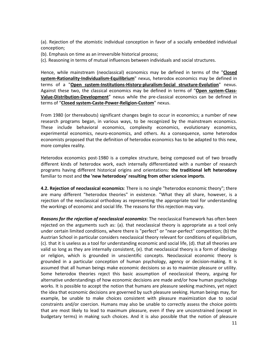(a). Rejection of the atomistic individual conception in favor of a socially embedded individual conception;

- (b). Emphasis on time as an irreversible historical process;
- (c). Reasoning in terms of mutual influences between individuals and social structures.

Hence, while mainstream (neoclassical) economics may be defined in terms of the "Closed system-Rationality-Individualism-Equilibrium" nexus, heterodox economics may be defined in terms of a "Open system-Institutions-History-pluralism-Social structure-Evolution" nexus. Against these two, the classical economics may be defined in terms of "Open system-Class-Value-Distribution-Development" nexus while the pre-classical economics can be defined in terms of "Closed system-Caste-Power-Religion-Custom" nexus.

From 1980 (or thereabouts) significant changes begin to occur in economics; a number of new research programs began, in various ways, to be recognized by the mainstream economics. These include behavioral economics, complexity economics, evolutionary economics, experimental economics, neuro-economics, and others. As a consequence, some heterodox economists proposed that the definition of heterodox economics has to be adapted to this new, more complex reality.

Heterodox economics post-1980 is a complex structure, being composed out of two broadly different kinds of heterodox work, each internally differentiated with a number of research programs having different historical origins and orientations: the traditional left heterodoxy familiar to most and the 'new heterodoxy' resulting from other science imports.

4.2. Rejection of neoclassical economics: There is no single "heterodox economic theory"; there are many different "heterodox theories" in existence. "What they all share, however, is a rejection of the neoclassical orthodoxy as representing the appropriate tool for understanding the workings of economic and social life. The reasons for this rejection may vary.

Reasons for the rejection of neoclassical economics: The neoclassical framework has often been rejected on the arguments such as: (a). that neoclassical theory is appropriate as a tool only under certain limited conditions, where there is "perfect" or "near-perfect" competition; (b) the Austrian School in particular considers neoclassical theory relevant for conditions of equilibrium, (c). that it is useless as a tool for understanding economic and social life, (d). that all theories are valid so long as they are internally consistent, (e). that neoclassical theory is a form of ideology or religion, which is grounded in unscientific concepts. Neoclassical economic theory is grounded in a particular conception of human psychology, agency or decision-making. It is assumed that all human beings make economic decisions so as to maximize pleasure or utility. Some heterodox theories reject this basic assumption of neoclassical theory, arguing for alternative understandings of how economic decisions are made and/or how human psychology works. It is possible to accept the notion that humans are pleasure seeking machines, yet reject the idea that economic decisions are governed by such pleasure seeking. Human beings may, for example, be unable to make choices consistent with pleasure maximization due to social constraints and/or coercion. Humans may also be unable to correctly assess the choice points that are most likely to lead to maximum pleasure, even if they are unconstrained (except in budgetary terms) in making such choices. And it is also possible that the notion of pleasure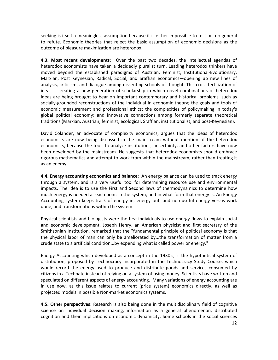seeking is itself a meaningless assumption because it is either impossible to test or too general to refute. Economic theories that reject the basic assumption of economic decisions as the outcome of pleasure maximization are heterodox.

4.3. Most recent developments: Over the past two decades, the intellectual agendas of heterodox economists have taken a decidedly pluralist turn. Leading heterodox thinkers have moved beyond the established paradigms of Austrian, Feminist, Institutional-Evolutionary, Marxian, Post Keynesian, Radical, Social, and Sraffian economics—opening up new lines of analysis, criticism, and dialogue among dissenting schools of thought. This cross-fertilization of ideas is creating a new generation of scholarship in which novel combinations of heterodox ideas are being brought to bear on important contemporary and historical problems, such as socially-grounded reconstructions of the individual in economic theory; the goals and tools of economic measurement and professional ethics; the complexities of policymaking in today's global political economy; and innovative connections among formerly separate theoretical traditions (Marxian, Austrian, feminist, ecological, Sraffian, institutionalist, and post-Keynesian).

David Colander, an advocate of complexity economics, argues that the ideas of heterodox economists are now being discussed in the mainstream without mention of the heterodox economists, because the tools to analyze institutions, uncertainty, and other factors have now been developed by the mainstream. He suggests that heterodox economists should embrace rigorous mathematics and attempt to work from within the mainstream, rather than treating it as an enemy.

**4.4. Energy accounting economics and balance**: An energy balance can be used to track energy through a system, and is a very useful tool for determining resource use and environmental impacts. The idea is to use the First and Second laws of thermodynamics to determine how much energy is needed at each point in the system, and in what form that energy is. An Energy Accounting system keeps track of energy in, energy out, and non-useful energy versus work done, and transformations within the system.

Physical scientists and biologists were the first individuals to use energy flows to explain social and economic development. Joseph Henry, an American physicist and first secretary of the Smithsonian Institution, remarked that the "fundamental principle of political economy is that the physical labor of man can only be ameliorated by...the transformation of matter from a crude state to a artificial condition...by expending what is called power or energy."

Energy Accounting which developed as a concept in the 1930's, is the hypothetical system of distribution, proposed by Technocracy Incorporated in the Technocracy Study Course, which would record the energy used to produce and distribute goods and services consumed by citizens in a Technate instead of relying on a system of using money. Scientists have written and speculated on different aspects of energy accounting. Many variations of energy accounting are in use now, as this issue relates to current (price system) economics directly, as well as projected models in possible Non-market economics systems.

4.5. Other perspectives: Research is also being done in the multidisciplinary field of cognitive science on individual decision making, information as a general phenomenon, distributed cognition and their implications on economic dynamicity. Some schools in the social sciences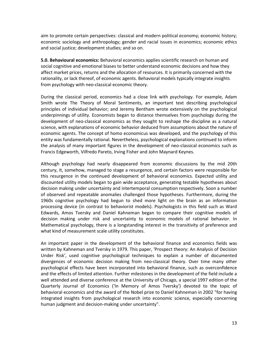aim to promote certain perspectives: classical and modern political economy; economic history; economic sociology and anthropology; gender and racial issues in economics; economic ethics and social justice; development studies; and so on.

5.0. Behavioural economics: Behavioral economics applies scientific research on human and social cognitive and emotional biases to better understand economic decisions and how they affect market prices, returns and the allocation of resources. It is primarily concerned with the rationality, or lack thereof, of economic agents. Behavioral models typically integrate insights from psychology with neo-classical economic theory.

During the classical period, economics had a close link with psychology. For example, Adam Smith wrote The Theory of Moral Sentiments, an important text describing psychological principles of individual behavior; and Jeremy Bentham wrote extensively on the psychological underpinnings of utility. Economists began to distance themselves from psychology during the development of neo-classical economics as they sought to reshape the discipline as a natural science, with explanations of economic behavior deduced from assumptions about the nature of economic agents. The concept of homo economicus was developed, and the psychology of this entity was fundamentally rational. Nevertheless, psychological explanations continued to inform the analysis of many important figures in the development of neo-classical economics such as Francis Edgeworth, Vilfredo Pareto, Irving Fisher and John Maynard Keynes.

Although psychology had nearly disappeared from economic discussions by the mid 20th century, it, somehow, managed to stage a resurgence, and certain factors were responsible for this resurgence in the continued development of behavioral economics. Expected utility and discounted utility models began to gain wide acceptance, generating testable hypotheses about decision making under uncertainty and intertemporal consumption respectively. Soon a number of observed and repeatable anomalies challenged those hypotheses. Furthermore, during the 1960s cognitive psychology had begun to shed more light on the brain as an information processing device (in contrast to behaviorist models). Psychologists in this field such as Ward Edwards, Amos Tversky and Daniel Kahneman began to compare their cognitive models of decision making under risk and uncertainty to economic models of rational behavior. In Mathematical psychology, there is a longstanding interest in the transitivity of preference and what kind of measurement scale utility constitutes.

An important paper in the development of the behavioral finance and economics fields was written by Kahneman and Tversky in 1979. This paper, 'Prospect theory: An Analysis of Decision Under Risk', used cognitive psychological techniques to explain a number of documented divergences of economic decision making from neo-classical theory. Over time many other psychological effects have been incorporated into behavioral finance, such as overconfidence and the effects of limited attention. Further milestones in the development of the field include a well attended and diverse conference at the University of Chicago, a special 1997 edition of the Quarterly Journal of Economics ('In Memory of Amos Tversky') devoted to the topic of behavioral economics and the award of the Nobel prize to Daniel Kahneman in 2002 "for having integrated insights from psychological research into economic science, especially concerning human judgment and decision-making under uncertainty".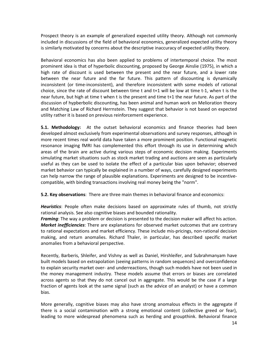Prospect theory is an example of generalized expected utility theory. Although not commonly included in discussions of the field of behavioral economics, generalized expected utility theory is similarly motivated by concerns about the descriptive inaccuracy of expected utility theory.

Behavioral economics has also been applied to problems of intertemporal choice. The most prominent idea is that of hyperbolic discounting, proposed by George Ainslie (1975), in which a high rate of discount is used between the present and the near future, and a lower rate between the near future and the far future. This pattern of discounting is dynamically inconsistent (or time-inconsistent), and therefore inconsistent with some models of rational choice, since the rate of discount between time t and t+1 will be low at time t-1, when t is the near future, but high at time t when t is the present and time t+1 the near future. As part of the discussion of hypberbolic discounting, has been animal and human work on Melioration theory and Matching Law of Richard Herrnstein. They suggest that behavior is not based on expected utility rather it is based on previous reinforcement experience.

**5.1. Methodology:** At the outset behavioral economics and finance theories had been developed almost exclusively from experimental observations and survey responses, although in more recent times real world data have taken a more prominent position. Functional magnetic resonance imaging fMRI has complemented this effort through its use in determining which areas of the brain are active during various steps of economic decision making. Experiments simulating market situations such as stock market trading and auctions are seen as particularly useful as they can be used to isolate the effect of a particular bias upon behavior; observed market behavior can typically be explained in a number of ways, carefully designed experiments can help narrow the range of plausible explanations. Experiments are designed to be incentivecompatible, with binding transactions involving real money being the "norm".

5.2. Key observations: There are three main themes in behavioral finance and economics:

Heuristics: People often make decisions based on approximate rules of thumb, not strictly rational analysis. See also cognitive biases and bounded rationality.

Framing: The way a problem or decision is presented to the decision maker will affect his action. Market inefficiencies: There are explanations for observed market outcomes that are contrary to rational expectations and market efficiency. These include mis-pricings, non-rational decision making, and return anomalies. Richard Thaler, in particular, has described specific market anomalies from a behavioral perspective.

Recently, Barberis, Shleifer, and Vishny as well as Daniel, Hirshleifer, and Subrahmanyam have built models based on extrapolation (seeing patterns in random sequences) and overconfidence to explain security market over- and underreactions, though such models have not been used in the money management industry. These models assume that errors or biases are correlated across agents so that they do not cancel out in aggregate. This would be the case if a large fraction of agents look at the same signal (such as the advice of an analyst) or have a common bias.

More generally, cognitive biases may also have strong anomalous effects in the aggregate if there is a social contamination with a strong emotional content (collective greed or fear), leading to more widespread phenomena such as herding and groupthink. Behavioral finance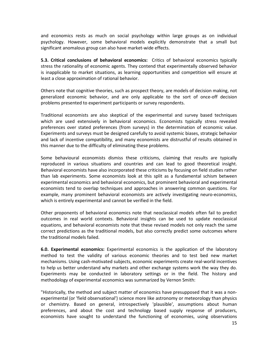and economics rests as much on social psychology within large groups as on individual psychology. However, some behavioral models explicitly demonstrate that a small but significant anomalous group can also have market-wide effects.

5.3. Critical conclusions of behavioral economics: Critics of behavioral economics typically stress the rationality of economic agents. They contend that experimentally observed behavior is inapplicable to market situations, as learning opportunities and competition will ensure at least a close approximation of rational behavior.

Others note that cognitive theories, such as prospect theory, are models of decision making, not generalized economic behavior, and are only applicable to the sort of once-off decision problems presented to experiment participants or survey respondents.

Traditional economists are also skeptical of the experimental and survey based techniques which are used extensively in behavioral economics. Economists typically stress revealed preferences over stated preferences (from surveys) in the determination of economic value. Experiments and surveys must be designed carefully to avoid systemic biases, strategic behavior and lack of incentive compatibility, and many economists are distrustful of results obtained in this manner due to the difficulty of eliminating these problems.

Some behavioural economists dismiss these criticisms, claiming that results are typically reproduced in various situations and countries and can lead to good theoretical insight. Behavioral economists have also incorporated these criticisms by focusing on field studies rather than lab experiments. Some economists look at this split as a fundamental schism between experimental economics and behavioral economics, but prominent behavioral and experimental economists tend to overlap techniques and approaches in answering common questions. For example, many prominent behavioral economists are actively investigating neuro-economics, which is entirely experimental and cannot be verified in the field.

Other proponents of behavioral economics note that neoclassical models often fail to predict outcomes in real world contexts. Behavioral insights can be used to update neoclassical equations, and behavioral economists note that these revised models not only reach the same correct predictions as the traditional models, but also correctly predict some outcomes where the traditional models failed.

**6.0. Experimental economics:** Experimental economics is the application of the laboratory method to test the validity of various economic theories and to test bed new market mechanisms. Using cash-motivated subjects, economic experiments create real-world incentives to help us better understand why markets and other exchange systems work the way they do. Experiments may be conducted in laboratory settings or in the field. The history and methodology of experimental economics was summarized by Vernon Smith:

"Historically, the method and subject matter of economics have presupposed that it was a nonexperimental (or 'field observational') science more like astronomy or meteorology than physics or chemistry. Based on general, introspectively 'plausible', assumptions about human preferences, and about the cost and technology based supply response of producers, economists have sought to understand the functioning of economies, using observations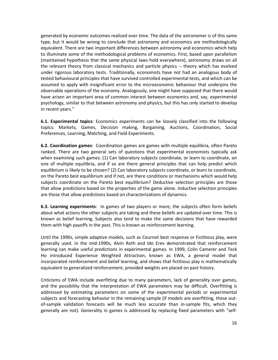generated by economic outcomes realized over time. The data of the astronomer is of this same type, but it would be wrong to conclude that astronomy and economics are methodologically equivalent. There are two important differences between astronomy and economics which help to illuminate some of the methodological problems of economics. First, based upon parallelism (maintained hypothesis that the same physical laws hold everywhere), astronomy draws on all the relevant theory from classical mechanics and particle physics -- theory which has evolved under rigorous laboratory tests. Traditionally, economists have not had an analogous body of tested behavioural principles that have survived controlled experimental tests, and which can be assumed to apply with insignificant error to the microeconomic behaviour that underpins the observable operations of the economy. Analogously, one might have supposed that there would have arisen an important area of common interest between economics and, say, experimental psychology, similar to that between astronomy and physics, but this has only started to develop in recent years."

**6.1. Experimental topics:** Economics experiments can be loosely classified into the following topics: Markets, Games, Decision making, Bargaining, Auctions, Coordination, Social Preferences, Learning, Matching, and Field Experiments.

6.2. Coordination games: Coordination games are games with multiple equilibria, often Pareto ranked. There are two general sets of questions that experimental economists typically ask when examining such games: (1) Can laboratory subjects coordinate, or learn to coordinate, on one of multiple equilibria, and if so are there general principles that can help predict which equilibrium is likely to be chosen? (2) Can laboratory subjects coordinate, or learn to coordinate, on the Pareto best equilibrium and if not, are there conditions or mechanisms which would help subjects coordinate on the Pareto best equilibrium? Deductive selection principles are those that allow predictions based on the properties of the game alone. Inductive selection principles are those that allow predictions based on characterizations of dynamics.

**6.3. Learning experiments**: In games of two players or more, the subjects often form beliefs about what actions the other subjects are taking and these beliefs are updated over time. This is known as belief learning. Subjects also tend to make the same decisions that have rewarded them with high payoffs in the past. This is known as reinforcement learning.

Until the 1990s, simple adaptive models, such as Cournot best response or Fictitious play, were generally used. In the mid-1990s, Alvin Roth and Ido Erev demonstrated that reinforcement learning can make useful predictions in experimental games. In 1999, Colin Camerer and Teck Ho introduced Experience Weighted Attraction, known as EWA, a general model that incorporated reinforcement and belief learning, and shows that fictitious play is mathematically equivalent to generalized reinforcement, provided weights are placed on past history.

Criticisms of EWA include overfitting due to many parameters, lack of generality over games, and the possibility that the interpretation of EWA parameters may be difficult. Overfitting is addressed by estimating parameters on some of the experimental periods or experimental subjects and forecasting behavior in the remaining sample (if models are overfitting, these outof-sample validation forecasts will be much less accurate than in-sample fits, which they generally are not). Generality in games is addressed by replacing fixed parameters with "self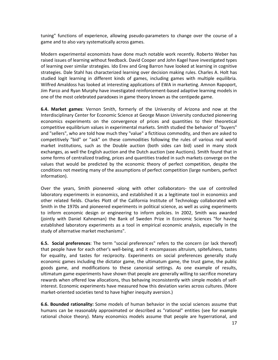tuning" functions of experience, allowing pseudo-parameters to change over the course of a game and to also vary systematically across games.

Modern experimental economists have done much notable work recently. Roberto Weber has raised issues of learning without feedback. David Cooper and John Kagel have investigated types of learning over similar strategies. Ido Erev and Greg Barron have looked at learning in cognitive strategies. Dale Stahl has characterized learning over decision making rules. Charles A. Holt has studied logit learning in different kinds of games, including games with multiple equilibria. Wilfred Amaldoss has looked at interesting applications of EWA in marketing. Amnon Rapoport, Jim Parco and Ryan Murphy have investigated reinforcement-based adaptive learning models in one of the most celebrated paradoxes in game theory known as the centipede game.

6.4. Market games: Vernon Smith, formerly of the University of Arizona and now at the Interdisciplinary Center for Economic Science at George Mason University conducted pioneering economics experiments on the convergence of prices and quantities to their theoretical competitive equilibrium values in experimental markets. Smith studied the behavior of "buyers" and "sellers", who are told how much they "value" a fictitious commodity, and then are asked to competitively "bid" or "ask" on these commodities following the rules of various real world market institutions, such as the Double auction (both sides can bid) used in many stock exchanges, as well the English auction and the Dutch auction (see Auctions). Smith found that in some forms of centralized trading, prices and quantities traded in such markets converge on the values that would be predicted by the economic theory of perfect competition, despite the conditions not meeting many of the assumptions of perfect competition (large numbers, perfect information).

Over the years, Smith pioneered -along with other collaborators- the use of controlled laboratory experiments in economics, and established it as a legitimate tool in economics and other related fields. Charles Plott of the California Institute of Technology collaborated with Smith in the 1970s and pioneered experiments in political science, as well as using experiments to inform economic design or engineering to inform policies. In 2002, Smith was awarded (jointly with Daniel Kahneman) the Bank of Sweden Prize in Economic Sciences "for having established laboratory experiments as a tool in empirical economic analysis, especially in the study of alternative market mechanisms".

**6.5. Social preferences:** The term "social preferences" refers to the concern (or lack thereof) that people have for each other's well-being, and it encompasses altruism, spitefulness, tastes for equality, and tastes for reciprocity. Experiments on social preferences generally study economic games including the dictator game, the ultimatum game, the trust game, the public goods game, and modifications to these canonical settings. As one example of results, ultimatum game experiments have shown that people are generally willing to sacrifice monetary rewards when offered low allocations, thus behaving inconsistently with simple models of selfinterest. Economic experiments have measured how this deviation varies across cultures. (More market-oriented societies tend to have higher inequity aversion.)

6.6. Bounded rationality: Some models of human behavior in the social sciences assume that humans can be reasonably approximated or described as "rational" entities (see for example rational choice theory). Many economics models assume that people are hyperrational, and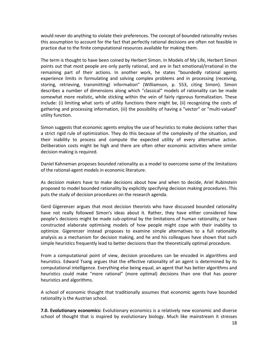would never do anything to violate their preferences. The concept of bounded rationality revises this assumption to account for the fact that perfectly rational decisions are often not feasible in practice due to the finite computational resources available for making them.

The term is thought to have been coined by Herbert Simon. In Models of My Life, Herbert Simon points out that most people are only partly rational, and are in fact emotional/irrational in the remaining part of their actions. In another work, he states "boundedly rational agents experience limits in formulating and solving complex problems and in processing (receiving, storing, retrieving, transmitting) information" (Williamson, p. 553, citing Simon). Simon describes a number of dimensions along which "classical" models of rationality can be made somewhat more realistic, while sticking within the vein of fairly rigorous formalization. These include: (i) limiting what sorts of utility functions there might be, (ii) recognizing the costs of gathering and processing information, (iii) the possibility of having a "vector" or "multi-valued" utility function.

Simon suggests that economic agents employ the use of heuristics to make decisions rather than a strict rigid rule of optimization. They do this because of the complexity of the situation, and their inability to process and compute the expected utility of every alternative action. Deliberation costs might be high and there are often other economic activities where similar decision making is required.

Daniel Kahneman proposes bounded rationality as a model to overcome some of the limitations of the rational-agent models in economic literature.

As decision makers have to make decisions about how and when to decide, Ariel Rubinstein proposed to model bounded rationality by explicitly specifying decision making procedures. This puts the study of decision procedures on the research agenda.

Gerd Gigerenzer argues that most decision theorists who have discussed bounded rationality have not really followed Simon's ideas about it. Rather, they have either considered how people's decisions might be made sub-optimal by the limitations of human rationality, or have constructed elaborate optimising models of how people might cope with their inability to optimize. Gigerenzer instead proposes to examine simple alternatives to a full rationality analysis as a mechanism for decision making, and he and his colleagues have shown that such simple heuristics frequently lead to better decisions than the theoretically optimal procedure.

From a computational point of view, decision procedures can be encoded in algorithms and heuristics. Edward Tsang argues that the effective rationality of an agent is determined by its computational intelligence. Everything else being equal, an agent that has better algorithms and heuristics could make "more rational" (more optimal) decisions than one that has poorer heuristics and algorithms.

A school of economic thought that traditionally assumes that economic agents have bounded rationality is the Austrian school.

**7.0. Evolutionary economics:** Evolutionary economics is a relatively new economic and diverse school of thought that is inspired by evolutionary biology. Much like mainstream it stresses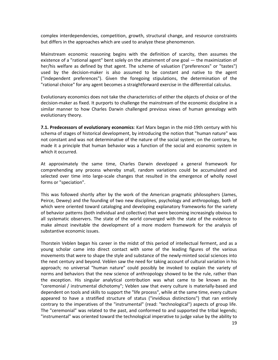complex interdependencies, competition, growth, structural change, and resource constraints but differs in the approaches which are used to analyze these phenomenon.

Mainstream economic reasoning begins with the definition of scarcity, then assumes the existence of a "rational agent" bent solely on the attainment of one goal — the maximization of her/his welfare as defined by that agent. The scheme of valuation ("preferences" or "tastes") used by the decision-maker is also assumed to be constant and native to the agent ("independent preferences"). Given the foregoing stipulations, the determination of the "rational choice" for any agent becomes a straightforward exercise in the differential calculus.

Evolutionary economics does not take the characteristics of either the objects of choice or of the decision-maker as fixed. It purports to challenge the mainstream of the economic discipline in a similar manner to how Charles Darwin challenged previous views of human genealogy with evolutionary theory.

7.1. Predecessors of evolutionary economics: Karl Marx began in the mid-19th century with his schema of stages of historical development, by introducing the notion that "human nature" was not constant and was not determinative of the nature of the social system; on the contrary, he made it a principle that human behavior was a function of the social and economic system in which it occurred.

At approximately the same time, Charles Darwin developed a general framework for comprehending any process whereby small, random variations could be accumulated and selected over time into large-scale changes that resulted in the emergence of wholly novel forms or "speciation".

This was followed shortly after by the work of the American pragmatic philosophers (James, Peirce, Dewey) and the founding of two new disciplines, psychology and anthropology, both of which were oriented toward cataloging and developing explanatory frameworks for the variety of behavior patterns (both individual and collective) that were becoming increasingly obvious to all systematic observers. The state of the world converged with the state of the evidence to make almost inevitable the development of a more modern framework for the analysis of substantive economic issues.

Thorstein Veblen began his career in the midst of this period of intellectual ferment, and as a young scholar came into direct contact with some of the leading figures of the various movements that were to shape the style and substance of the newly-minted social sciences into the next century and beyond. Veblen saw the need for taking account of cultural variation in his approach; no universal "human nature" could possibly be invoked to explain the variety of norms and behaviors that the new science of anthropology showed to be the rule, rather than the exception. His singular analytical contribution was what came to be known as the "ceremonial / instrumental dichotomy"; Veblen saw that every culture is materially-based and dependent on tools and skills to support the "life process", while at the same time, every culture appeared to have a stratified structure of status ("invidious distinctions") that ran entirely contrary to the imperatives of the "instrumental" (read: "technological") aspects of group life. The "ceremonial" was related to the past, and conformed to and supported the tribal legends; "instrumental" was oriented toward the technological imperative to judge value by the ability to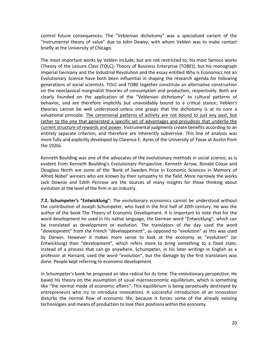control future consequences. The "Veblenian dichotomy" was a specialized variant of the "instrumental theory of value" due to John Dewey, with whom Veblen was to make contact briefly at the University of Chicago.

The most important works by Veblen include, but are not restricted to, his most famous works (Theory of the Leisure Class (TOLC); Theory of Business Enterprise (TOBE)), but his monograph Imperial Germany and the Industrial Revolution and the essay entitled Why is Economics not an Evolutionary Science have both been influential in shaping the research agenda for following generations of social scientists. TOLC and TOBE together constitute an alternative construction on the neoclassical marginalist theories of consumption and production, respectively. Both are clearly founded on the application of the "Veblenian dichotomy" to cultural patterns of behavior, and are therefore implicitly but unavoidably bound to a critical stance; Veblen's theories cannot be well understood unless one grasps that the dichotomy is at its core a valuational principle. The ceremonial patterns of activity are not bound to just any past, but rather to the one that generated a specific set of advantages and prejudices that underlie the current structure of rewards and power. Instrumental judgments create benefits according to an entirely separate criterion, and therefore are inherently subversive. This line of analysis was more fully and explicitly developed by Clarence E. Ayres of the University of Texas at Austin from the 1920s.

Kenneth Boulding was one of the advocates of the evolutionary methods in social science, as is evident from Kenneth Boulding's Evolutionary Perspective. Kenneth Arrow, Ronald Coase and Douglass North are some of the 'Bank of Sweden Prize in Economic Sciences in Memory of Alfred Nobel' winners who are known by their sympathy to the field. More narrowly the works Jack Downie and Edith Penrose are the sources of many insights for those thinking about evolution at the level of the firm in an industry.

7.2. Schumpeter's "Entwicklung": The evolutionary economics cannot be understood without the contribution of Joseph Schumpeter, who lived in the first half of 20th century. He was the author of the book The Theory of Economic Development. It is important to note that for the word development he used in his native language, the German word "Entwicklung", which can be translated as development or evolution. The translators of the day used the word "development" from the French "développement", as opposed to "evolution" as this was used by Darwin. However it makes more sense to look at the economy as "evolution" (or Entwicklung) than "development", which refers more to bring something to a fixed state, instead of a process that can go anywhere. Schumpeter, in his later writings in English as a professor at Harvard, used the word "evolution", but the damage by the first translators was done. People kept referring to economic development.

In Schumpeter's book he proposed an idea radical for its time: The evolutionary perspective. He based his theory on the assumption of usual macroeconomic equilibrium, which is something like "the normal mode of economic affairs". This equilibrium is being perpetually destroyed by entrepreneurs who try to introduce innovations. A successful introduction of an innovation disturbs the normal flow of economic life, because it forces some of the already existing technologies and means of production to lose their positions within the economy.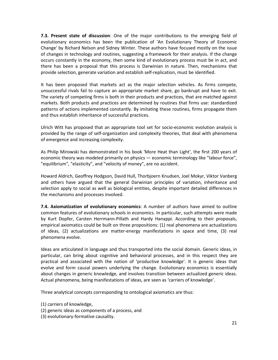**7.3. Present state of discussion**: One of the major contributions to the emerging field of evolutionary economics has been the publication of 'An Evolutionary Theory of Economic Change' by Richard Nelson and Sidney Winter. These authors have focused mostly on the issue of changes in technology and routines, suggesting a framework for their analysis. If the change occurs constantly in the economy, then some kind of evolutionary process must be in act, and there has been a proposal that this process is Darwinian in nature. Then, mechanisms that provide selection, generate variation and establish self-replication, must be identified.

It has been proposed that markets act as the major selection vehicles. As firms compete, unsuccessful rivals fail to capture an appropriate market share, go bankrupt and have to exit. The variety of competing firms is both in their products and practices, that are matched against markets. Both products and practices are determined by routines that firms use: standardized patterns of actions implemented constantly. By imitating these routines, firms propagate them and thus establish inheritance of successful practices.

Ulrich Witt has proposed that an appropriate tool set for socio-economic evolution analysis is provided by the range of self-organization and complexity theories, that deal with phenomena of emergence and increasing complexity.

As Philip Mirowski has demonstrated in his book 'More Heat than Light', the first 200 years of economic theory was modeled primarily on physics — economic terminology like "labour force", "equilibrium", "elasticity", and "velocity of money", are no accident.

Howard Aldrich, Geoffrey Hodgson, David Hull, Thorbjoern Knudsen, Joel Mokyr, Viktor Vanberg and others have argued that the general Darwinian principles of variation, inheritance and selection apply to social as well as biological entities, despite important detailed differences in the mechanisms and processes involved.

7.4. Axiomatization of evolutionary economics: A number of authors have aimed to outline common features of evolutionary schools in economics. In particular, such attempts were made by Kurt Dopfer, Carsten Herrmann-Pillath and Hardy Hanappi. According to their proposals, empirical axiomatics could be built on three propositions: (1) real phenomena are actualizations of ideas, (2) actualizations are matter-energy manifestations in space and time, (3) real phenomena evolve.

Ideas are articulated in language and thus transported into the social domain. Generic ideas, in particular, can bring about cognitive and behavioral processes, and in this respect they are practical and associated with the notion of 'productive knowledge'. It is generic ideas that evolve and form causal powers underlying the change. Evolutionary economics is essentially about changes in generic knowledge, and involves transition between actualized generic ideas. Actual phenomena, being manifestations of ideas, are seen as 'carriers of knowledge'.

Three analytical concepts corresponding to ontological axiomatics are thus:

- (1) carriers of knowledge,
- (2) generic ideas as components of a process, and
- (3) evolutionary-formative causality.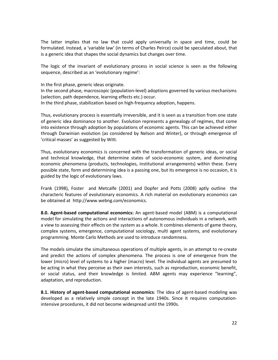The latter implies that no law that could apply universally in space and time, could be formulated. Instead, a 'variable law' (in terms of Charles Peirce) could be speculated about, that is a generic idea that shapes the social dynamics but changes over time.

The logic of the invariant of evolutionary process in social science is seen as the following sequence, described as an 'evolutionary regime':

In the first phase, generic ideas originate.

In the second phase, macroscopic (population-level) adoptions governed by various mechanisms (selection, path dependence, learning effects etc.) occur.

In the third phase, stabilization based on high-frequency adoption, happens.

Thus, evolutionary process is essentially irreversible, and it is seen as a transition from one state of generic idea dominance to another. Evolution represents a genealogy of regimes, that come into existence through adoption by populations of economic agents. This can be achieved either through Darwinian evolution (as considered by Nelson and Winter), or through emergence of 'critical masses' as suggested by Witt.

Thus, evolutionary economics is concerned with the transformation of generic ideas, or social and technical knowledge, that determine states of socio-economic system, and dominating economic phenomena (products, technologies, institutional arrangements) within these. Every possible state, form and determining idea is a passing one, but its emergence is no occasion, it is guided by the logic of evolutionary laws.

Frank (1998), Foster and Metcalfe (2001) and Dopfer and Potts (2008) aptly outline the characteric features of evolutionary economics. A rich material on evolutionary economics can be obtained at http://www.webng.com/economics.

8.0. Agent-based computational economics: An agent-based model (ABM) is a computational model for simulating the actions and interactions of autonomous individuals in a network, with a view to assessing their effects on the system as a whole. It combines elements of game theory, complex systems, emergence, computational sociology, multi agent systems, and evolutionary programming. Monte Carlo Methods are used to introduce randomness.

The models simulate the simultaneous operations of multiple agents, in an attempt to re-create and predict the actions of complex phenomena. The process is one of emergence from the lower (micro) level of systems to a higher (macro) level. The individual agents are presumed to be acting in what they perceive as their own interests, such as reproduction, economic benefit, or social status, and their knowledge is limited. ABM agents may experience "learning", adaptation, and reproduction.

8.1. History of agent-based computational economics: The idea of agent-based modeling was developed as a relatively simple concept in the late 1940s. Since it requires computationintensive procedures, it did not become widespread until the 1990s.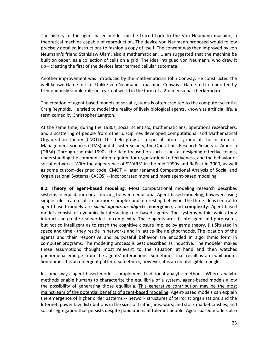The history of the agent-based model can be traced back to the Von Neumann machine, a theoretical machine capable of reproduction. The device von Neumann proposed would follow precisely detailed instructions to fashion a copy of itself. The concept was then improved by von Neumann's friend Stanisław Ulam, also a mathematician; Ulam suggested that the machine be built on paper, as a collection of cells on a grid. The idea intrigued von Neumann, who drew it up—creating the first of the devices later termed cellular automata.

Another improvement was introduced by the mathematician John Conway. He constructed the well-known Game of Life. Unlike von Neumann's machine, Conway's Game of Life operated by tremendously simple rules in a virtual world in the form of a 2-dimensional checkerboard.

The creation of agent-based models of social systems is often credited to the computer scientist Craig Reynolds. He tried to model the reality of lively biological agents, known as artificial life, a term coined by Christopher Langton.

At the same time, during the 1980s, social scientists, mathematicians, operations researchers, and a scattering of people from other disciplines developed Computational and Mathematical Organization Theory (CMOT). This field grew as a special interest group of The Institute of Management Sciences (TIMS) and its sister society, the Operations Research Society of America (ORSA). Through the mid-1990s, the field focused on such issues as designing effective teams, understanding the communication required for organizational effectiveness, and the behavior of social networks. With the appearance of SWARM in the mid-1990s and RePast in 2000, as well as some custom-designed code, CMOT -- later renamed Computational Analysis of Social and Organizational Systems (CASOS) -- incorporated more and more agent-based modeling.

8.2. Theory of agent-based modeling: Most computational modeling research describes systems in equilibrium or as moving between equilibria. Agent-based modeling, however, using simple rules, can result in far more complex and interesting behavior. The three ideas central to agent-based models are *social agents as objects*, emergence, and complexity. Agent-based models consist of dynamically interacting rule based agents. The systems within which they interact can create real world-like complexity. These agents are: (i) Intelligent and purposeful, but not so intelligent as to reach the cognitive closure implied by game theory, (ii) Situated in space and time - they reside in networks and in lattice-like neighborhoods. The location of the agents and their responsive and purposeful behavior are encoded in algorithmic form in computer programs. The modeling process is best described as inductive. The modeler makes those assumptions thought most relevant to the situation at hand and then watches phenomena emerge from the agents' interactions. Sometimes that result is an equilibrium. Sometimes it is an emergent pattern. Sometimes, however, it is an unintelligible mangle.

In some ways, agent-based models complement traditional analytic methods. Where analytic methods enable humans to characterize the equilibria of a system, agent-based models allow the possibility of generating those equilibria. This generative contribution may be the most mainstream of the potential benefits of agent-based modeling. Agent-based models can explain the emergence of higher order patterns -- network structures of terrorist organizations and the Internet, power law distributions in the sizes of traffic jams, wars, and stock market crashes, and social segregation that persists despite populations of tolerant people. Agent-based models also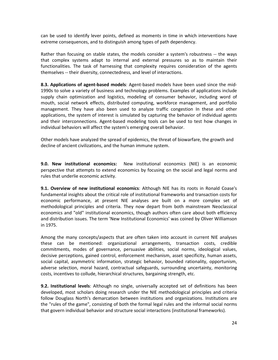can be used to identify lever points, defined as moments in time in which interventions have extreme consequences, and to distinguish among types of path dependency.

Rather than focusing on stable states, the models consider a system's robustness -- the ways that complex systems adapt to internal and external pressures so as to maintain their functionalities. The task of harnessing that complexity requires consideration of the agents themselves -- their diversity, connectedness, and level of interactions.

8.3. Applications of agent-based models: Agent-based models have been used since the mid-1990s to solve a variety of business and technology problems. Examples of applications include supply chain optimization and logistics, modeling of consumer behavior, including word of mouth, social network effects, distributed computing, workforce management, and portfolio management. They have also been used to analyze traffic congestion In these and other applications, the system of interest is simulated by capturing the behavior of individual agents and their interconnections. Agent-based modeling tools can be used to test how changes in individual behaviors will affect the system's emerging overall behavior.

Other models have analyzed the spread of epidemics, the threat of biowarfare, the growth and decline of ancient civilizations, and the human immune system.

9.0. New institutional economics: New institutional economics (NIE) is an economic perspective that attempts to extend economics by focusing on the social and legal norms and rules that underlie economic activity.

9.1. Overview of new institutional economics: Although NIE has its roots in Ronald Coase's fundamental insights about the critical role of institutional frameworks and transaction costs for economic performance, at present NIE analyses are built on a more complex set of methodological principles and criteria. They now depart from both mainstream Neoclassical economics and "old" institutional economics, though authors often care about both efficiency and distribution issues. The term 'New Institutional Economics' was coined by Oliver Williamson in 1975.

Among the many concepts/aspects that are often taken into account in current NIE analyses these can be mentioned: organizational arrangements, transaction costs, credible commitments, modes of governance, persuasive abilities, social norms, ideological values, decisive perceptions, gained control, enforcement mechanism, asset specificity, human assets, social capital, asymmetric information, strategic behavior, bounded rationality, opportunism, adverse selection, moral hazard, contractual safeguards, surrounding uncertainty, monitoring costs, incentives to collude, hierarchical structures, bargaining strength, etc.

**9.2. Institutional levels**: Although no single, universally accepted set of definitions has been developed, most scholars doing research under the NIE methodological principles and criteria follow Douglass North's demarcation between institutions and organizations. Institutions are the "rules of the game", consisting of both the formal legal rules and the informal social norms that govern individual behavior and structure social interactions (institutional frameworks).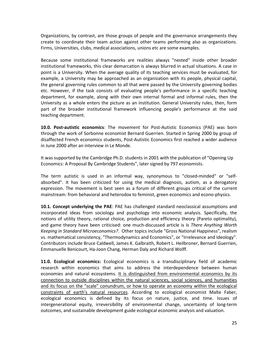Organizations, by contrast, are those groups of people and the governance arrangements they create to coordinate their team action against other teams performing also as organizations. Firms, Universities, clubs, medical associations, unions etc are some examples.

Because some institutional frameworks are realities always "nested" inside other broader institutional frameworks, this clear demarcation is always blurred in actual situations. A case in point is a University. When the average quality of its teaching services must be evaluated, for example, a University may be approached as an organization with its people, physical capital, the general governing rules common to all that were passed by the University governing bodies etc. However, if the task consists of evaluating people's performance in a specific teaching department, for example, along with their own internal formal and informal rules, then the University as a whole enters the picture as an institution. General University rules, then, form part of the broader institutional framework influencing people's performance at the said teaching department.

10.0. Post-autistic economics: The movement for Post-Autistic Economics (PAE) was born through the work of Sorbonne economist Bernard Guerrien. Started in Spring 2000 by group of disaffected French economics students, Post-Autistic Economics first reached a wider audience in June 2000 after an interview in Le Monde.

It was supported by the Cambridge Ph.D. students in 2001 with the publication of "Opening Up Economics: A Proposal By Cambridge Students", later signed by 797 economists.

The term autistic is used in an informal way, synonymous to "closed-minded" or "selfabsorbed". It has been criticized for using the medical diagnosis, autism, as a derogatory expression. The movement is best seen as a forum of different groups critical of the current mainstream: from behavioral and heterodox to feminist, green economics and econo-physics.

10.1. Concept underlying the PAE: PAE has challenged standard neoclassical assumptions and incorporated ideas from sociology and psychology into economic analysis. Specifically, the notions of utility theory, rational choice, production and efficiency theory (Pareto optimality), and game theory have been criticised: one much-discussed article is Is There Anything Worth Keeping in Standard Microeconomics?. Other topics include "Gross National Happiness", realism vs. mathematical consistency, "Thermodynamics and Economics", or "Irrelevance and Ideology". Contributors include Bruce Caldwell, James K. Galbraith, Robert L. Heilbroner, Bernard Guerrien, Emmanuelle Benicourt, Ha-Joon Chang, Herman Daly and Richard Wolff.

11.0. Ecological economics: Ecological economics is a transdisciplinary field of academic research within economics that aims to address the interdependence between human economies and natural ecosystems. It is distinguished from environmental economics by its connection to outside disciplines within the natural sciences, social sciences, and humanities and its focus on the "scale" conundrum, or how to operate an economy within the ecological constraints of earth's natural resources. According to ecological economist Malte Faber, ecological economics is defined by its focus on nature, justice, and time. Issues of intergenerational equity, irreversibility of environmental change, uncertainty of long-term outcomes, and sustainable development guide ecological economic analysis and valuation.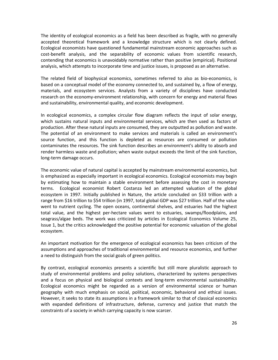The identity of ecological economics as a field has been described as fragile, with no generally accepted theoretical framework and a knowledge structure which is not clearly defined. Ecological economists have questioned fundamental mainstream economic approaches such as cost-benefit analysis, and the separability of economic values from scientific research, contending that economics is unavoidably normative rather than positive (empirical). Positional analysis, which attempts to incorporate time and justice issues, is proposed as an alternative.

The related field of biophysical economics, sometimes referred to also as bio-economics, is based on a conceptual model of the economy connected to, and sustained by, a flow of energy, materials, and ecosystem services. Analysts from a variety of disciplines have conducted research on the economy-environment relationship, with concern for energy and material flows and sustainability, environmental quality, and economic development.

In ecological economics, a complex circular flow diagram reflects the input of solar energy, which sustains natural inputs and environmental services, which are then used as factors of production. After these natural inputs are consumed, they are outputted as pollution and waste. The potential of an environment to make services and materials is called an environment's source function, and this function is depleted as resources are consumed or pollution contaminates the resources. The sink function describes an environment's ability to absorb and render harmless waste and pollution; when waste output exceeds the limit of the sink function, long-term damage occurs.

The economic value of natural capital is accepted by mainstream environmental economics, but is emphasized as especially important in ecological economics. Ecological economists may begin by estimating how to maintain a stable environment before assessing the cost in monetary terms. Ecological economist Robert Costanza led an attempted valuation of the global ecosystem in 1997. Initially published in Nature, the article concluded on \$33 trillion with a range from \$16 trillion to \$54 trillion (in 1997, total global GDP was \$27 trillion. Half of the value went to nutrient cycling. The open oceans, continental shelves, and estuaries had the highest total value, and the highest per-hectare values went to estuaries, swamps/floodplains, and seagrass/algae beds. The work was criticized by articles in Ecological Economics Volume 25, Issue 1, but the critics acknowledged the positive potential for economic valuation of the global ecosystem.

An important motivation for the emergence of ecological economics has been criticism of the assumptions and approaches of traditional environmental and resource economics, and further a need to distinguish from the social goals of green politics.

By contrast, ecological economics presents a scientific but still more pluralistic approach to study of environmental problems and policy solutions, characterized by systems perspectives and a focus on physical and biological contexts and long-term environmental sustainability. Ecological economics might be regarded as a version of environmental science or human geography with much emphasis on social, political, economic, behavioral and ethical issues. However, it seeks to state its assumptions in a framework similar to that of classical economics with expanded definitions of infrastructure, defense, currency and justice that match the constraints of a society in which carrying capacity is now scarcer.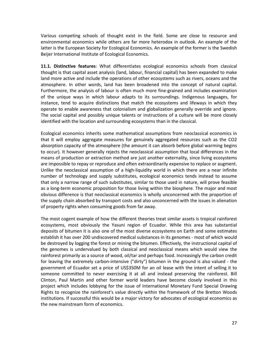Various competing schools of thought exist in the field. Some are close to resource and environmental economics while others are far more heterodox in outlook. An example of the latter is the European Society for Ecological Economics. An example of the former is the Swedish Beijer International Institute of Ecological Economics.

11.1. Distinctive features: What differentiates ecological economics schools from classical thought is that capital asset analysis (land, labour, financial capital) has been expanded to make land more active and include the operations of other ecosystems such as rivers, oceans and the atmosphere. In other words, land has been broadened into the concept of natural capital. Furthermore, the analysis of labour is often much more fine-grained and includes examination of the unique ways in which labour adapts to its surroundings. Indigenous languages, for instance, tend to acquire distinctions that match the ecosystems and lifeways in which they operate to enable awareness that colonialism and globalization generally override and ignore. The social capital and possibly unique talents or instructions of a culture will be more closely identified with the location and surrounding ecosystems than in the classical.

Ecological economics inherits some mathematical assumptions from neoclassical economics in that it will employ aggregate measures for genuinely aggregated resources such as the CO2 absorption capacity of the atmosphere (the amount it can absorb before global warming begins to occur). It however generally rejects the neoclassical assumption that local differences in the means of production or extraction method are just another externality, since living ecosystems are impossible to repay or reproduce and often extraordinarily expensive to replace or augment. Unlike the neoclassical assumption of a high-liquidity world in which there are a near infinite number of technology and supply substitutes, ecological economics tends instead to assume that only a narrow range of such substitutes, similar to those used in nature, will prove feasible as a long-term economic proposition for those living within the biosphere. The major and most obvious difference is that neoclassical economics is wholly unconcerned with the proportion of the supply chain absorbed by transport costs and also unconcerned with the issues in alienation of property rights when consuming goods from far away.

The most cogent example of how the different theories treat similar assets is tropical rainforest ecosystems, most obviously the Yasuni region of Ecuador. While this area has substantial deposits of bitumen it is also one of the most diverse ecosystems on Earth and some estimates establish it has over 200 undiscovered medical substances in its genomes - most of which would be destroyed by logging the forest or mining the bitumen. Effectively, the instructional capital of the genomes is undervalued by both classical and neoclassical means which would view the rainforest primarily as a source of wood, oil/tar and perhaps food. Increasingly the carbon credit for leaving the extremely carbon-intensive ("dirty") bitumen in the ground is also valued - the government of Ecuador set a price of US\$350M for an oil lease with the intent of selling it to someone committed to never exercising it at all and instead preserving the rainforest. Bill Clinton, Paul Martin and other former world leaders have become closely involved in this project which includes lobbying for the issue of International Monetary Fund Special Drawing Rights to recognize the rainforest's value directly within the framework of the Bretton Woods institutions. If successful this would be a major victory for advocates of ecological economics as the new mainstream form of economics.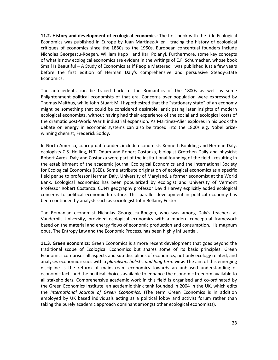11.2. History and development of ecological economics: The first book with the title Ecological Economics was published in Europe by Juan Martinez-Alier tracing the history of ecological critiques of economics since the 1880s to the 1950s. European conceptual founders include Nicholas Georgescu-Roegen, William Kapp and Karl Polanyi. Furthermore, some key concepts of what is now ecological economics are evident in the writings of E.F. Schumacher, whose book Small Is Beautiful – A Study of Economics as if People Mattered was published just a few years before the first edition of Herman Daly's comprehensive and persuasive Steady-State Economics.

The antecedents can be traced back to the Romantics of the 1800s as well as some Enlightenment political economists of that era. Concerns over population were expressed by Thomas Malthus, while John Stuart Mill hypothesized that the "stationary state" of an economy might be something that could be considered desirable, anticipating later insights of modern ecological economists, without having had their experience of the social and ecological costs of the dramatic post-World War II industrial expansion. As Martinez-Alier explores in his book the debate on energy in economic systems can also be traced into the 1800s e.g. Nobel prizewinning chemist, Frederick Soddy.

In North America, conceptual founders include economists Kenneth Boulding and Herman Daly, ecologists C.S. Holling, H.T. Odum and Robert Costanza, biologist Gretchen Daily and physicist Robert Ayres. Daly and Costanza were part of the institutional founding of the field - resulting in the establishment of the academic journal Ecological Economics and the International Society for Ecological Economics (ISEE). Some attribute origination of ecological economics as a specific field per se to professor Herman Daly, University of Maryland, a former economist at the World Bank. Ecological economics has been popularized by ecologist and University of Vermont Professor Robert Costanza. CUNY geography professor David Harvey explicitly added ecological concerns to political economic literature. This parallel development in political economy has been continued by analysts such as sociologist John Bellamy Foster.

The Romanian economist Nicholas Georgescu-Roegen, who was among Daly's teachers at Vanderbilt University, provided ecological economics with a modern conceptual framework based on the material and energy flows of economic production and consumption. His magnum opus, The Entropy Law and the Economic Process, has been highly influential.

11.3. Green economics: Green Economics is a more recent development that goes beyond the traditional scope of Ecological Economics but shares some of its basic principles. Green Economics comprises all aspects and sub-disciplines of economics, not only ecology related, and analyses economic issues with a *pluralistic, holistic and long term view*. The aim of this emerging discipline is the reform of mainstream economics towards an unbiased understanding of economic facts and the political choices available to enhance the economic freedom available to all stakeholders. Comprehensive academic work in this field is organised and co-ordinated by the Green Economics Institute, an academic think tank founded in 2004 in the UK, which edits the International Journal of Green Economics. (The term Green Economics is in addition employed by UK based individuals acting as a political lobby and activist forum rather than taking the purely academic approach dominant amongst other ecological economists).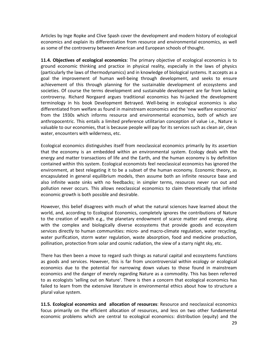Articles by Inge Ropke and Clive Spash cover the development and modern history of ecological economics and explain its differentiation from resource and environmental economics, as well as some of the controversy between American and European schools of thought.

11.4. Objectives of ecological economics: The primary objective of ecological economics is to ground economic thinking and practice in physical reality, especially in the laws of physics (particularly the laws of thermodynamics) and in knowledge of biological systems. It accepts as a goal the improvement of human well-being through development, and seeks to ensure achievement of this through planning for the sustainable development of ecosystems and societies. Of course the terms development and sustainable development are far from lacking controversy. Richard Norgaard argues traditional economics has hi-jacked the development terminology in his book Development Betrayed. Well-being in ecological economics is also differentiated from welfare as found in mainstream economics and the 'new welfare economics' from the 1930s which informs resource and environmental economics, both of which are anthropocentric. This entails a limited preference utilitarian conception of value i.e., Nature is valuable to our economies, that is because people will pay for its services such as clean air, clean water, encounters with wilderness, etc.

Ecological economics distinguishes itself from neoclassical economics primarily by its assertion that the economy is an embedded within an environmental system. Ecology deals with the energy and matter transactions of life and the Earth, and the human economy is by definition contained within this system. Ecological economists feel neoclassical economics has ignored the environment, at best relegating it to be a subset of the human economy. Economic theory, as encapsulated in general equilibrium models, then assume both an infinite resource base and also infinite waste sinks with no feedbacks; in simpler terms, resources never run out and pollution never occurs. This allows neoclassical economics to claim theoretically that infinite economic growth is both possible and desirable.

However, this belief disagrees with much of what the natural sciences have learned about the world, and, according to Ecological Economics, completely ignores the contributions of Nature to the creation of wealth e.g., the planetary endowment of scarce matter and energy, along with the complex and biologically diverse ecosystems that provide goods and ecosystem services directly to human communities: micro- and macro-climate regulation, water recycling, water purification, storm water regulation, waste absorption, food and medicine production, pollination, protection from solar and cosmic radiation, the view of a starry night sky, etc.

There has then been a move to regard such things as natural capital and ecosystems functions as goods and services. However, this is far from uncontroversial within ecology or ecological economics due to the potential for narrowing down values to those found in mainstream economics and the danger of merely regarding Nature as a commodity. This has been referred to as ecologists 'selling out on Nature'. There is then a concern that ecological economics has failed to learn from the extensive literature in environmental ethics about how to structure a plural value system.

11.5. Ecological economics and allocation of resources: Resource and neoclassical economics focus primarily on the efficient allocation of resources, and less on two other fundamental economic problems which are central to ecological economics: distribution (equity) and the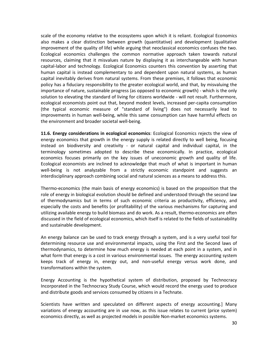scale of the economy relative to the ecosystems upon which it is reliant. Ecological Economics also makes a clear distinction between growth (quantitative) and development (qualitative improvement of the quality of life) while arguing that neoclassical economics confuses the two. Ecological economics challenges the common normative approach taken towards natural resources, claiming that it misvalues nature by displaying it as interchangeable with human capital-labor and technology. Ecological Economics counters this convention by asserting that human capital is instead complementary to and dependent upon natural systems, as human capital inevitably derives from natural systems. From these premises, it follows that economic policy has a fiduciary responsibility to the greater ecological world, and that, by misvaluing the importance of nature, sustainable progress (as opposed to economic growth) - which is the only solution to elevating the standard of living for citizens worldwide - will not result. Furthermore, ecological economists point out that, beyond modest levels, increased per-capita consumption (the typical economic measure of "standard of living") does not necessarily lead to improvements in human well-being, while this same consumption can have harmful effects on the environment and broader societal well-being.

11.6. Energy considerations in ecological economics: Ecological Economics rejects the view of energy economics that growth in the energy supply is related directly to well being, focusing instead on biodiversity and creativity - or natural capital and individual capital, in the terminology sometimes adopted to describe these economically. In practice, ecological economics focuses primarily on the key issues of uneconomic growth and quality of life. Ecological economists are inclined to acknowledge that much of what is important in human well-being is not analyzable from a strictly economic standpoint and suggests an interdisciplinary approach combining social and natural sciences as a means to address this.

Thermo-economics (the main basis of energy economics) is based on the proposition that the role of energy in biological evolution should be defined and understood through the second law of thermodynamics but in terms of such economic criteria as productivity, efficiency, and especially the costs and benefits (or profitability) of the various mechanisms for capturing and utilizing available energy to build biomass and do work. As a result, thermo-economics are often discussed in the field of ecological economics, which itself is related to the fields of sustainability and sustainable development.

An energy balance can be used to track energy through a system, and is a very useful tool for determining resource use and environmental impacts, using the First and the Second laws of thermodynamics, to determine how much energy is needed at each point in a system, and in what form that energy is a cost in various environmental issues. The energy accounting system keeps track of energy in, energy out, and non-useful energy versus work done, and transformations within the system.

Energy Accounting is the hypothetical system of distribution, proposed by Technocracy Incorporated in the Technocracy Study Course, which would record the energy used to produce and distribute goods and services consumed by citizens in a Technate.

Scientists have written and speculated on different aspects of energy accounting.] Many variations of energy accounting are in use now, as this issue relates to current (price system) economics directly, as well as projected models in possible Non-market economics systems.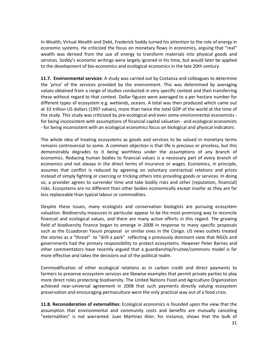In Wealth, Virtual Wealth and Debt, Frederick Soddy turned his attention to the role of energy in economic systems. He criticized the focus on monetary flows in economics, arguing that "real" wealth was derived from the use of energy to transform materials into physical goods and services. Soddy's economic writings were largely ignored in his time, but would later be applied to the development of bio-economics and ecological economics in the late 20th century.

11.7. Environmental services: A study was carried out by Costanza and colleagues to determine the 'price' of the services provided by the environment. This was determined by averaging values obtained from a range of studies conducted in very specific context and then transferring these without regard to that context. Dollar figures were averaged to a per hectare number for different types of ecosystem e.g. wetlands, oceans. A total was then produced which came out at 33 trillion US dollars (1997 values), more than twice the total GDP of the world at the time of the study. This study was criticized by pre-ecological and even some environmental economists for being inconsistent with assumptions of financial capital valuation - and ecological economists - for being inconsistent with an ecological economics focus on biological and physical indicators.

The whole idea of treating ecosystems as goods and services to be valued in monetary terms remains controversial to some. A common objection is that life is precious or priceless, but this demonstrably degrades to it being worthless under the assumptions of any branch of economics. Reducing human bodies to financial values is a necessary part of every branch of economics and not always in the direct terms of insurance or wages. Economics, in principle, assumes that conflict is reduced by agreeing on voluntary contractual relations and prices instead of simply fighting or coercing or tricking others into providing goods or services. In doing so, a provider agrees to surrender time and take bodily risks and other (reputation, financial) risks. Ecosystems are no different than other bodies economically except insofar as they are far less replaceable than typical labour or commodities.

Despite these issues, many ecologists and conservation biologists are pursuing ecosystem valuation. Biodiversity measures in particular appear to be the most promising way to reconcile financial and ecological values, and there are many active efforts in this regard. The growing field of biodiversity finance began to emerge in 2008 in response to many specific proposals such as the Ecuadoran Yasuni proposal or similar ones in the Congo. US news outlets treated the stories as a "threat" to "drill a park" reflecting a previously dominant view that NGOs and governments had the primary responsibility to protect ecosystems. However Peter Barnes and other commentators have recently argued that a guardianship/trustee/commons model is far more effective and takes the decisions out of the political realm.

Commodification of other ecological relations as in carbon credit and direct payments to farmers to preserve ecosystem services are likewise examples that permit private parties to play more direct roles protecting biodiversity. The United Nations Food and Agriculture Organization achieved near-universal agreement in 2008 that such payments directly valuing ecosystem preservation and encouraging permaculture were the only practical way out of a food crisis.

11.8. Reconsideration of externalities: Ecological economics is founded upon the view that the assumption that environmental and community costs and benefits are mutually canceling "externalities" is not warranted. Juan Martinez Alier, for instance, shows that the bulk of